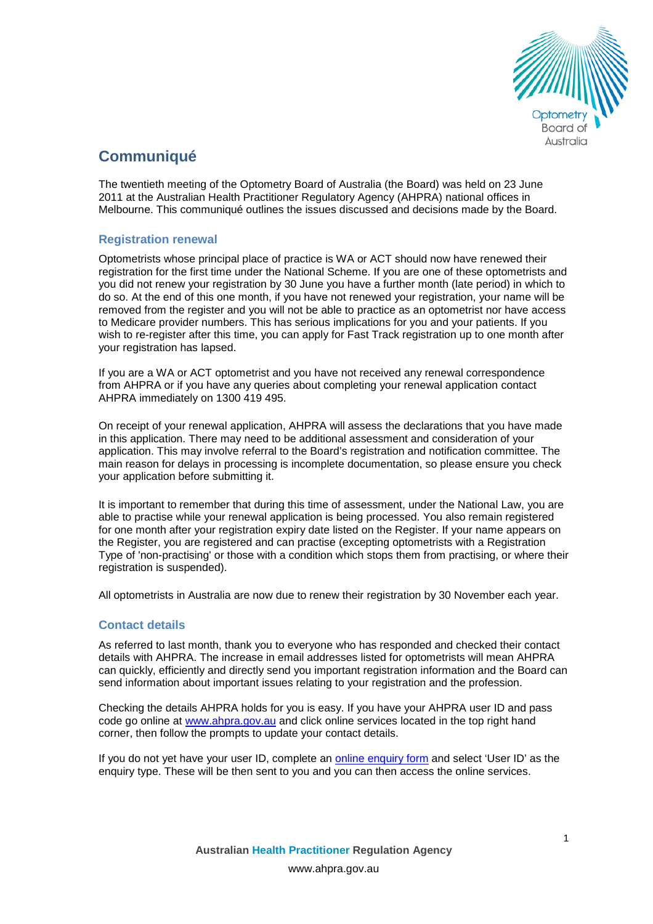

# **Communiqué**

The twentieth meeting of the Optometry Board of Australia (the Board) was held on 23 June 2011 at the Australian Health Practitioner Regulatory Agency (AHPRA) national offices in Melbourne. This communiqué outlines the issues discussed and decisions made by the Board.

# **Registration renewal**

Optometrists whose principal place of practice is WA or ACT should now have renewed their registration for the first time under the National Scheme. If you are one of these optometrists and you did not renew your registration by 30 June you have a further month (late period) in which to do so. At the end of this one month, if you have not renewed your registration, your name will be removed from the register and you will not be able to practice as an optometrist nor have access to Medicare provider numbers. This has serious implications for you and your patients. If you wish to re-register after this time, you can apply for Fast Track registration up to one month after your registration has lapsed.

If you are a WA or ACT optometrist and you have not received any renewal correspondence from AHPRA or if you have any queries about completing your renewal application contact AHPRA immediately on 1300 419 495.

On receipt of your renewal application, AHPRA will assess the declarations that you have made in this application. There may need to be additional assessment and consideration of your application. This may involve referral to the Board's registration and notification committee. The main reason for delays in processing is incomplete documentation, so please ensure you check your application before submitting it.

It is important to remember that during this time of assessment, under the National Law, you are able to practise while your renewal application is being processed. You also remain registered for one month after your registration expiry date listed on the Register. If your name appears on the Register, you are registered and can practise (excepting optometrists with a Registration Type of 'non-practising' or those with a condition which stops them from practising, or where their registration is suspended).

All optometrists in Australia are now due to renew their registration by 30 November each year.

# **Contact details**

As referred to last month, thank you to everyone who has responded and checked their contact details with AHPRA. The increase in email addresses listed for optometrists will mean AHPRA can quickly, efficiently and directly send you important registration information and the Board can send information about important issues relating to your registration and the profession.

Checking the details AHPRA holds for you is easy. If you have your AHPRA user ID and pass code go online at [www.ahpra.gov.au](http://www.ahpra.gov.au/) and click online services located in the top right hand corner, then follow the prompts to update your contact details.

If you do not yet have your user ID, complete an [online enquiry form](https://www.ahpra.gov.au/about-ahpra/contact-us/make-an-enquiry.aspx) and select 'User ID' as the enquiry type. These will be then sent to you and you can then access the online services.